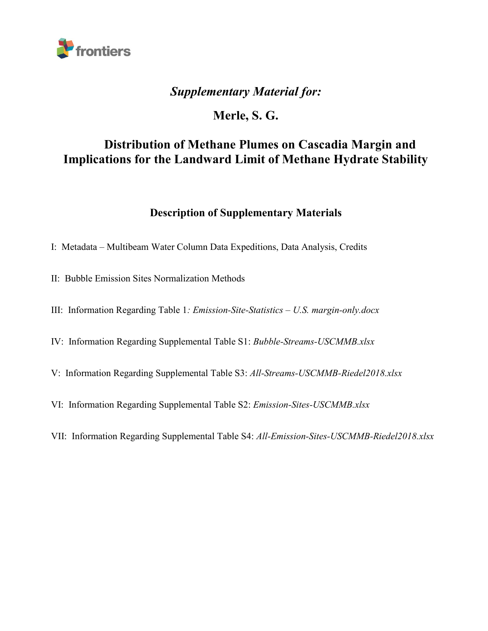

## *Supplementary Material for:*

# **Merle, S. G.**

# **Distribution of Methane Plumes on Cascadia Margin and Implications for the Landward Limit of Methane Hydrate Stability**

## **Description of Supplementary Materials**

- I: Metadata Multibeam Water Column Data Expeditions, Data Analysis, Credits
- II: Bubble Emission Sites Normalization Methods
- III: Information Regarding Table 1*: Emission-Site-Statistics – U.S. margin-only.docx*
- IV: Information Regarding Supplemental Table S1: *Bubble-Streams-USCMMB.xlsx*
- V: Information Regarding Supplemental Table S3: *All-Streams-USCMMB-Riedel2018.xlsx*
- VI: Information Regarding Supplemental Table S2: *Emission-Sites-USCMMB.xlsx*
- VII: Information Regarding Supplemental Table S4: *All-Emission-Sites-USCMMB-Riedel2018.xlsx*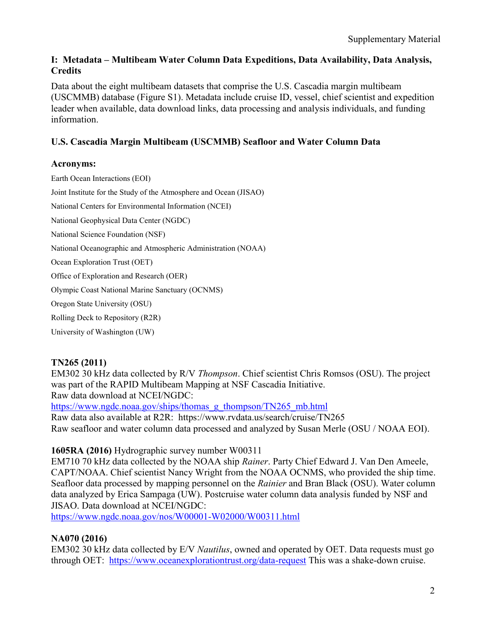#### **I: Metadata – Multibeam Water Column Data Expeditions, Data Availability, Data Analysis, Credits**

Data about the eight multibeam datasets that comprise the U.S. Cascadia margin multibeam (USCMMB) database (Figure S1). Metadata include cruise ID, vessel, chief scientist and expedition leader when available, data download links, data processing and analysis individuals, and funding information.

#### **U.S. Cascadia Margin Multibeam (USCMMB) Seafloor and Water Column Data**

#### **Acronyms:**

Earth Ocean Interactions (EOI) Joint Institute for the Study of the Atmosphere and Ocean (JISAO) National Centers for Environmental Information (NCEI) National Geophysical Data Center (NGDC) National Science Foundation (NSF) National Oceanographic and Atmospheric Administration (NOAA) Ocean Exploration Trust (OET) Office of Exploration and Research (OER) Olympic Coast National Marine Sanctuary (OCNMS) Oregon State University (OSU) Rolling Deck to Repository (R2R) University of Washington (UW)

#### **TN265 (2011)**

EM302 30 kHz data collected by R/V *Thompson*. Chief scientist Chris Romsos (OSU). The project was part of the RAPID Multibeam Mapping at NSF Cascadia Initiative. Raw data download at NCEI/NGDC:

[https://www.ngdc.noaa.gov/ships/thomas\\_g\\_thompson/TN265\\_mb.html](https://www.ngdc.noaa.gov/ships/thomas_g_thompson/TN265_mb.html) Raw data also available at R2R: https://www.rvdata.us/search/cruise/TN265 Raw seafloor and water column data processed and analyzed by Susan Merle (OSU / NOAA EOI).

#### **1605RA (2016)** Hydrographic survey number W00311

EM710 70 kHz data collected by the NOAA ship *Rainer*. Party Chief Edward J. Van Den Ameele, CAPT/NOAA. Chief scientist Nancy Wright from the NOAA OCNMS, who provided the ship time. Seafloor data processed by mapping personnel on the *Rainier* and Bran Black (OSU). Water column data analyzed by Erica Sampaga (UW). Postcruise water column data analysis funded by NSF and JISAO. Data download at NCEI/NGDC:

<https://www.ngdc.noaa.gov/nos/W00001-W02000/W00311.html>

#### **NA070 (2016)**

EM302 30 kHz data collected by E/V *Nautilus*, owned and operated by OET. Data requests must go through OET: <https://www.oceanexplorationtrust.org/data-request> This was a shake-down cruise.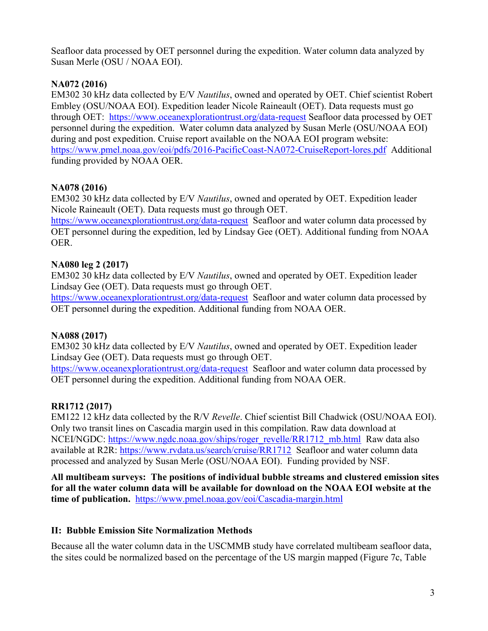Seafloor data processed by OET personnel during the expedition. Water column data analyzed by Susan Merle (OSU / NOAA EOI).

#### **NA072 (2016)**

EM302 30 kHz data collected by E/V *Nautilus*, owned and operated by OET. Chief scientist Robert Embley (OSU/NOAA EOI). Expedition leader Nicole Raineault (OET). Data requests must go through OET: <https://www.oceanexplorationtrust.org/data-request> Seafloor data processed by OET personnel during the expedition. Water column data analyzed by Susan Merle (OSU/NOAA EOI) during and post expedition. Cruise report available on the NOAA EOI program website: <https://www.pmel.noaa.gov/eoi/pdfs/2016-PacificCoast-NA072-CruiseReport-lores.pdf>Additional funding provided by NOAA OER.

#### **NA078 (2016)**

EM302 30 kHz data collected by E/V *Nautilus*, owned and operated by OET. Expedition leader Nicole Raineault (OET). Data requests must go through OET.

<https://www.oceanexplorationtrust.org/data-request>Seafloor and water column data processed by OET personnel during the expedition, led by Lindsay Gee (OET). Additional funding from NOAA OER.

#### **NA080 leg 2 (2017)**

EM302 30 kHz data collected by E/V *Nautilus*, owned and operated by OET. Expedition leader Lindsay Gee (OET). Data requests must go through OET.

<https://www.oceanexplorationtrust.org/data-request>Seafloor and water column data processed by OET personnel during the expedition. Additional funding from NOAA OER.

#### **NA088 (2017)**

EM302 30 kHz data collected by E/V *Nautilus*, owned and operated by OET. Expedition leader Lindsay Gee (OET). Data requests must go through OET.

<https://www.oceanexplorationtrust.org/data-request>Seafloor and water column data processed by OET personnel during the expedition. Additional funding from NOAA OER.

#### **RR1712 (2017)**

EM122 12 kHz data collected by the R/V *Revelle*. Chief scientist Bill Chadwick (OSU/NOAA EOI). Only two transit lines on Cascadia margin used in this compilation. Raw data download at NCEI/NGDC: [https://www.ngdc.noaa.gov/ships/roger\\_revelle/RR1712\\_mb.html](https://www.ngdc.noaa.gov/ships/roger_revelle/RR1712_mb.html) Raw data also available at R2R:<https://www.rvdata.us/search/cruise/RR1712>Seafloor and water column data processed and analyzed by Susan Merle (OSU/NOAA EOI). Funding provided by NSF.

**All multibeam surveys: The positions of individual bubble streams and clustered emission sites for all the water column data will be available for download on the NOAA EOI website at the time of publication.** <https://www.pmel.noaa.gov/eoi/Cascadia-margin.html>

#### **II: Bubble Emission Site Normalization Methods**

Because all the water column data in the USCMMB study have correlated multibeam seafloor data, the sites could be normalized based on the percentage of the US margin mapped (Figure 7c, Table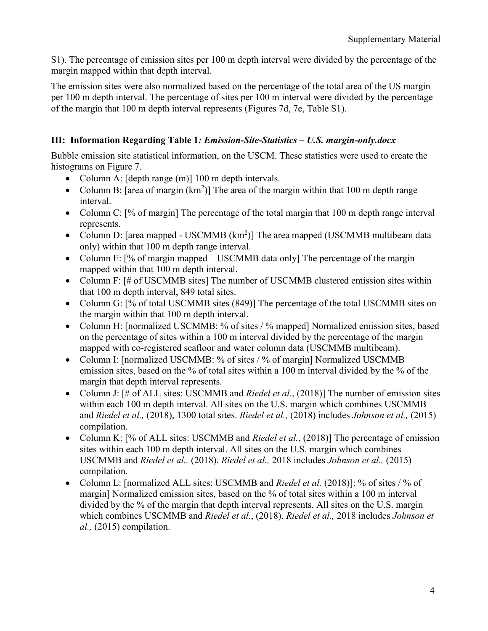S1). The percentage of emission sites per 100 m depth interval were divided by the percentage of the margin mapped within that depth interval.

The emission sites were also normalized based on the percentage of the total area of the US margin per 100 m depth interval. The percentage of sites per 100 m interval were divided by the percentage of the margin that 100 m depth interval represents (Figures 7d, 7e, Table S1).

### **III: Information Regarding Table 1***: Emission-Site-Statistics – U.S. margin-only.docx*

Bubble emission site statistical information, on the USCM. These statistics were used to create the histograms on Figure 7.

- Column A: [depth range (m)] 100 m depth intervals.
- Column B: [area of margin  $(km^2)$ ] The area of the margin within that 100 m depth range interval.
- Column C: [% of margin] The percentage of the total margin that 100 m depth range interval represents.
- Column D: [area mapped USCMMB  $(km^2)$ ] The area mapped (USCMMB multibeam data only) within that 100 m depth range interval.
- Column E: [% of margin mapped USCMMB data only] The percentage of the margin mapped within that 100 m depth interval.
- Column F: [# of USCMMB sites] The number of USCMMB clustered emission sites within that 100 m depth interval, 849 total sites.
- Column G: [% of total USCMMB sites (849)] The percentage of the total USCMMB sites on the margin within that 100 m depth interval.
- Column H: [normalized USCMMB: % of sites / % mapped] Normalized emission sites, based on the percentage of sites within a 100 m interval divided by the percentage of the margin mapped with co-registered seafloor and water column data (USCMMB multibeam).
- Column I: [normalized USCMMB: % of sites / % of margin] Normalized USCMMB emission sites, based on the % of total sites within a 100 m interval divided by the % of the margin that depth interval represents.
- Column J: [# of ALL sites: USCMMB and *Riedel et al.*, (2018)] The number of emission sites within each 100 m depth interval. All sites on the U.S. margin which combines USCMMB and *Riedel et al.,* (2018), 1300 total sites. *Riedel et al.,* (2018) includes *Johnson et al.,* (2015) compilation.
- Column K: [% of ALL sites: USCMMB and *Riedel et al.*, (2018)] The percentage of emission sites within each 100 m depth interval. All sites on the U.S. margin which combines USCMMB and *Riedel et al.,* (2018). *Riedel et al.,* 2018 includes *Johnson et al.,* (2015) compilation.
- Column L: [normalized ALL sites: USCMMB and *Riedel et al.* (2018)]: % of sites / % of margin] Normalized emission sites, based on the % of total sites within a 100 m interval divided by the % of the margin that depth interval represents. All sites on the U.S. margin which combines USCMMB and *Riedel et al.*, (2018). *Riedel et al.,* 2018 includes *Johnson et al.,* (2015) compilation.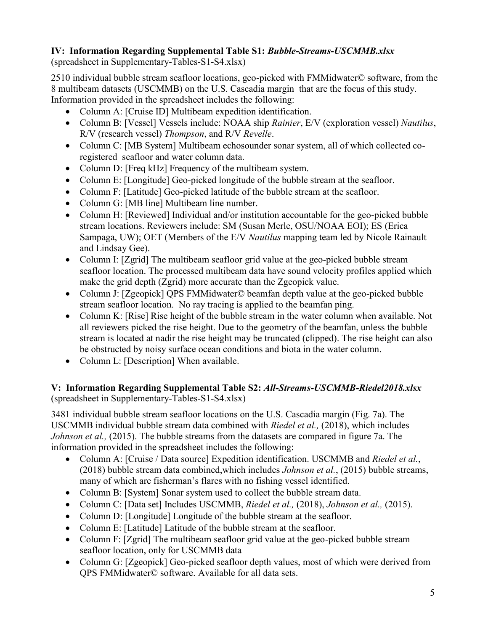## **IV: Information Regarding Supplemental Table S1:** *Bubble-Streams-USCMMB.xlsx*

(spreadsheet in Supplementary-Tables-S1-S4.xlsx)

2510 individual bubble stream seafloor locations, geo-picked with FMMidwater© software, from the 8 multibeam datasets (USCMMB) on the U.S. Cascadia margin that are the focus of this study. Information provided in the spreadsheet includes the following:

- Column A: [Cruise ID] Multibeam expedition identification.
- Column B: [Vessel] Vessels include: NOAA ship *Rainier*, E/V (exploration vessel) *Nautilus*, R/V (research vessel) *Thompson*, and R/V *Revelle*.
- Column C: [MB System] Multibeam echosounder sonar system, all of which collected coregistered seafloor and water column data.
- Column D: [Freq kHz] Frequency of the multibeam system.
- Column E: [Longitude] Geo-picked longitude of the bubble stream at the seafloor.
- Column F: [Latitude] Geo-picked latitude of the bubble stream at the seafloor.
- Column G: [MB line] Multibeam line number.
- Column H: [Reviewed] Individual and/or institution accountable for the geo-picked bubble stream locations. Reviewers include: SM (Susan Merle, OSU/NOAA EOI); ES (Erica Sampaga, UW); OET (Members of the E/V *Nautilus* mapping team led by Nicole Rainault and Lindsay Gee).
- Column I: [Zgrid] The multibeam seafloor grid value at the geo-picked bubble stream seafloor location. The processed multibeam data have sound velocity profiles applied which make the grid depth (Zgrid) more accurate than the Zgeopick value.
- Column J: [Zgeopick] QPS FMMidwater© beamfan depth value at the geo-picked bubble stream seafloor location. No ray tracing is applied to the beamfan ping.
- Column K: [Rise] Rise height of the bubble stream in the water column when available. Not all reviewers picked the rise height. Due to the geometry of the beamfan, unless the bubble stream is located at nadir the rise height may be truncated (clipped). The rise height can also be obstructed by noisy surface ocean conditions and biota in the water column.
- Column L: [Description] When available.

#### **V: Information Regarding Supplemental Table S2:** *All-Streams-USCMMB-Riedel2018.xlsx* (spreadsheet in Supplementary-Tables-S1-S4.xlsx)

3481 individual bubble stream seafloor locations on the U.S. Cascadia margin (Fig. 7a). The USCMMB individual bubble stream data combined with *Riedel et al.,* (2018), which includes *Johnson et al.,* (2015). The bubble streams from the datasets are compared in figure 7a. The information provided in the spreadsheet includes the following:

- Column A: [Cruise / Data source] Expedition identification. USCMMB and *Riedel et al.*, (2018) bubble stream data combined,which includes *Johnson et al.*, (2015) bubble streams, many of which are fisherman's flares with no fishing vessel identified.
- Column B: [System] Sonar system used to collect the bubble stream data.
- Column C: [Data set] Includes USCMMB, *Riedel et al.,* (2018), *Johnson et al.,* (2015).
- Column D: [Longitude] Longitude of the bubble stream at the seafloor.
- Column E: [Latitude] Latitude of the bubble stream at the seafloor.
- Column F: [Zgrid] The multibeam seafloor grid value at the geo-picked bubble stream seafloor location, only for USCMMB data
- Column G: [Zgeopick] Geo-picked seafloor depth values, most of which were derived from QPS FMMidwater© software. Available for all data sets.